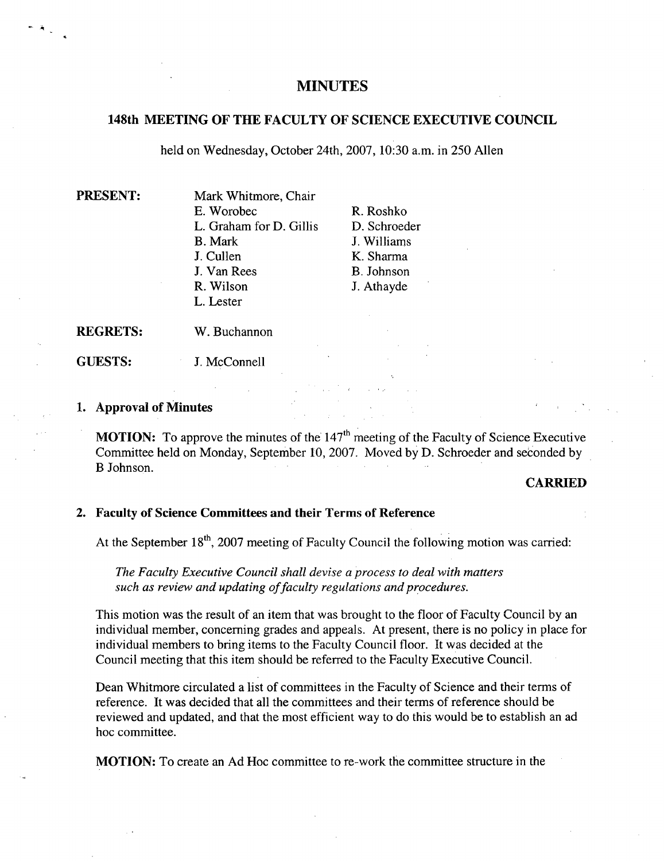# **MINUTES**

## **148th MEETING OF THE FACULTY OF SCIENCE EXECUTIVE COUNCIL**

held on Wednesday, October 24th, 2007, 10:30 a.m. in *250* Allen

**PRESENT:** Mark Whitmore, Chair E. Worobec R. Roshko L. Graham for D. Gillis D. Schroeder B. Mark J. Williams J. Cullen K. Sharma J. Van Rees B. Johnson R. Wilson J. Athayde L. Lester

**REGRETS:** W. Buchannon

**GUESTS:** J. McConnell

#### **Approval of Minutes**

**MOTION:** To approve the minutes of the 147<sup>th</sup> meeting of the Faculty of Science Executive Committee held on Monday, September 10, 2007. Moved by D. Schroeder and seconded by B Johnson.

### **CARRIED**

## **Faculty of Science Committees and their Terms of Reference**

At the September  $18<sup>th</sup>$ , 2007 meeting of Faculty Council the following motion was carried:

*The Faculty Executive Council shall devise a process to deal with matters such as review and updating offaculty regulations and procedures.* 

This motion was the result of an item that was brought to the floor of Faculty Council by an individual member, concerning grades and appeals. At present, there is no policy in place for individual members to bring items to the Faculty Council floor. It was decided at the Council meeting that this item should be referred to the Faculty Executive Council.

Dean Whitmore circulated a list of committees in the Faculty of Science and their terms of reference. It was decided that all the committees and their terms of reference should be reviewed and updated, and that the most efficient way to do this would be to establish an ad hoc committee.

MOTION: To create an Ad Hoc committee to re-work the committee structure in the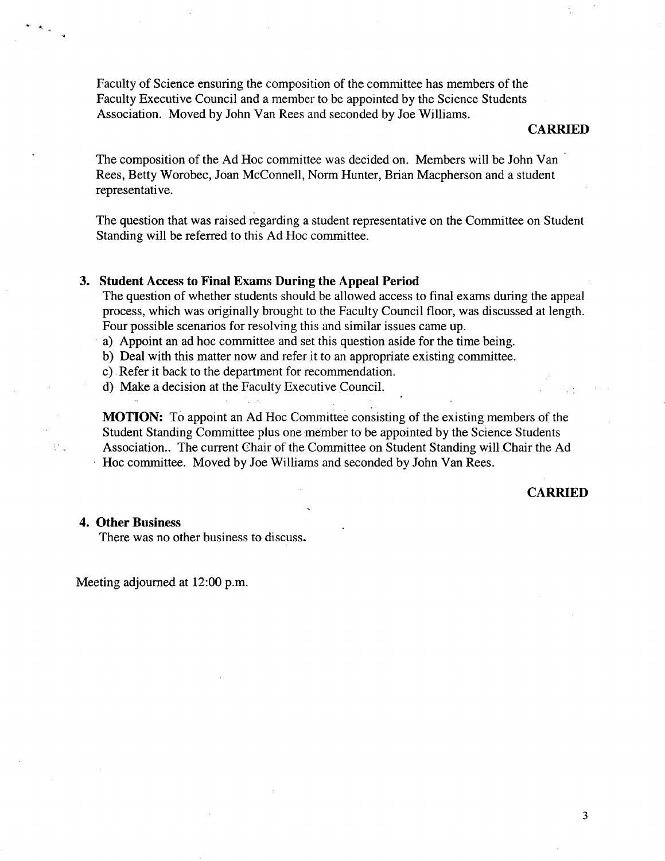Faculty of Science ensuring the composition of the committee has members of the Faculty Executive Council and a member to be appointed by the Science Students Association. Moved by John Van Rees and seconded by Joe Williams.

#### **CARRIED**

The composition of the Ad Hoc committee was decided on. Members will be John Van Rees, Betty Worobec, Joan McConnell, Norm Hunter, Brian Macpherson and a student representative.

**The** question that was raised regarding a student representative on the Committee on Student Standing will be referred to this Ad Hoc committee.

### **3. Student Access to Final Exams During the Appeal Period**

The question of whether students should be allowed access to final exams during the appeal process, which was originally brought to the Faculty Council floor, was discussed at length. Four possible scenarios for resolving this and similar issues came up.

a) Appoint an ad hoc committee and set this question aside for the time being.

b) Deal with this matter now and refer it to an appropriate existing committee.

c) Refer it back to the department for recommendation.

d) Make a decision at the Faculty Executive Council.

**MOTION:** To appoint an Ad Hoc Committee consisting of the existing members of the Student Standing Committee plus one member to be appointed by the Science Students Association.. The current Chair of the Committee on Student Standing will Chair the Ad Hoc committee. Moved by Joe Williams and seconded by John Van Rees.

#### **CARRIED**

## **4. Other Business**

 $\mathbb{R}^n$  .

There was no other business to discuss.

Meeting adjourned at 12:00 p.m.